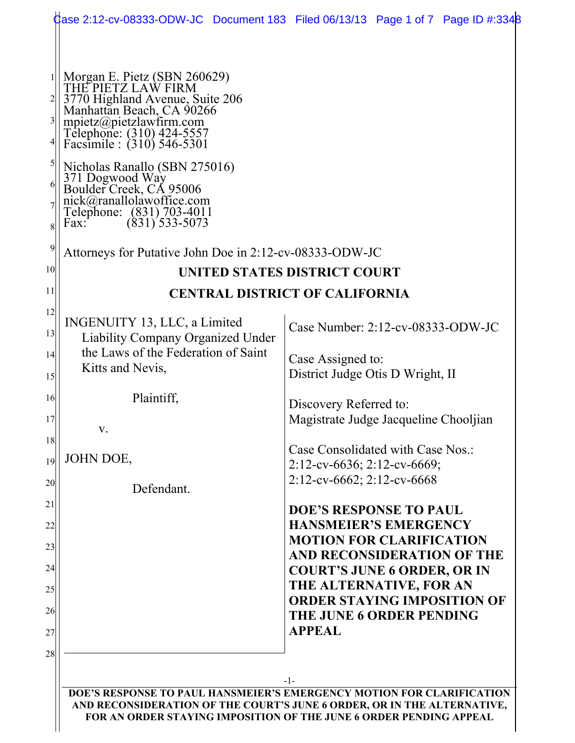|                                                                                                                                                                                                                                                                                         | Case 2:12-cv-08333-ODW-JC Document 183 Filed 06/13/13 Page 1 of 7 Page ID #:3348                                                                                                                |  |  |  |  |  |
|-----------------------------------------------------------------------------------------------------------------------------------------------------------------------------------------------------------------------------------------------------------------------------------------|-------------------------------------------------------------------------------------------------------------------------------------------------------------------------------------------------|--|--|--|--|--|
| Morgan E. Pietz (SBN 260629)<br>THE PIETZ LAW FIRM<br>3770 Highland Avenue, Suite 206<br>Manhattan Beach, CA 90266<br>mpietz@pietzlawfirm.com<br>Telephone: (310) 424-5557<br>Facsimile : (310) 546-5301<br>Nicholas Ranallo (SBN 275016)<br>371 Dogwood Way<br>Boulder Creek, CA 95006 |                                                                                                                                                                                                 |  |  |  |  |  |
| nick@ranallolawoffice.com<br>Telephone: (831) 703-4011<br>Fax: (831) 533-5073                                                                                                                                                                                                           |                                                                                                                                                                                                 |  |  |  |  |  |
| Attorneys for Putative John Doe in 2:12-cv-08333-ODW-JC                                                                                                                                                                                                                                 |                                                                                                                                                                                                 |  |  |  |  |  |
| <b>UNITED STATES DISTRICT COURT</b>                                                                                                                                                                                                                                                     |                                                                                                                                                                                                 |  |  |  |  |  |
|                                                                                                                                                                                                                                                                                         | <b>CENTRAL DISTRICT OF CALIFORNIA</b>                                                                                                                                                           |  |  |  |  |  |
| INGENUITY 13, LLC, a Limited<br><b>Liability Company Organized Under</b>                                                                                                                                                                                                                | Case Number: 2:12-cv-08333-ODW-JC                                                                                                                                                               |  |  |  |  |  |
| the Laws of the Federation of Saint<br>Kitts and Nevis,                                                                                                                                                                                                                                 | Case Assigned to:<br>District Judge Otis D Wright, II<br>Discovery Referred to:<br>Magistrate Judge Jacqueline Chooljian<br>Case Consolidated with Case Nos.:<br>$2:12$ -cv-6636; 2:12-cv-6669; |  |  |  |  |  |
| Plaintiff,<br>V.                                                                                                                                                                                                                                                                        |                                                                                                                                                                                                 |  |  |  |  |  |
| JOHN DOE,                                                                                                                                                                                                                                                                               |                                                                                                                                                                                                 |  |  |  |  |  |
| Defendant.                                                                                                                                                                                                                                                                              | $2:12$ -cv-6662; 2:12-cv-6668                                                                                                                                                                   |  |  |  |  |  |
|                                                                                                                                                                                                                                                                                         | <b>DOE'S RESPONSE TO PAUL</b><br><b>HANSMEIER'S EMERGENCY</b>                                                                                                                                   |  |  |  |  |  |
|                                                                                                                                                                                                                                                                                         | <b>MOTION FOR CLARIFICATION</b><br>AND RECONSIDERATION OF THE<br><b>COURT'S JUNE 6 ORDER, OR IN</b><br>THE ALTERNATIVE, FOR AN<br><b>ORDER STAYING IMPOSITION OF</b>                            |  |  |  |  |  |
|                                                                                                                                                                                                                                                                                         | <b>THE JUNE 6 ORDER PENDING</b><br><b>APPEAL</b>                                                                                                                                                |  |  |  |  |  |
|                                                                                                                                                                                                                                                                                         | -1-                                                                                                                                                                                             |  |  |  |  |  |
| AND RECONSIDERATION OF THE COURT'S JUNE 6 ORDER, OR IN THE ALTERNATIVE,                                                                                                                                                                                                                 | DOE'S RESPONSE TO PAUL HANSMEIER'S EMERGENCY MOTION FOR CLARIFICATION                                                                                                                           |  |  |  |  |  |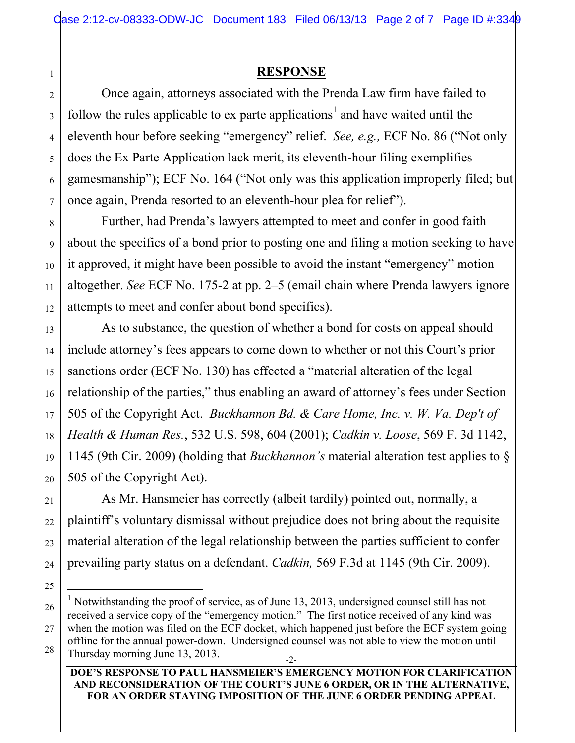## **RESPONSE**

Once again, attorneys associated with the Prenda Law firm have failed to follow the rules applicable to ex parte applications<sup>1</sup> and have waited until the eleventh hour before seeking "emergency" relief. *See, e.g.,* ECF No. 86 ("Not only does the Ex Parte Application lack merit, its eleventh-hour filing exemplifies gamesmanship"); ECF No. 164 ("Not only was this application improperly filed; but once again, Prenda resorted to an eleventh-hour plea for relief").

Further, had Prenda's lawyers attempted to meet and confer in good faith about the specifics of a bond prior to posting one and filing a motion seeking to have it approved, it might have been possible to avoid the instant "emergency" motion altogether. *See* ECF No. 175-2 at pp. 2–5 (email chain where Prenda lawyers ignore attempts to meet and confer about bond specifics).

As to substance, the question of whether a bond for costs on appeal should include attorney's fees appears to come down to whether or not this Court's prior sanctions order (ECF No. 130) has effected a "material alteration of the legal relationship of the parties," thus enabling an award of attorney's fees under Section 505 of the Copyright Act. *Buckhannon Bd. & Care Home, Inc. v. W. Va. Dep't of Health & Human Res.*, 532 U.S. 598, 604 (2001); *Cadkin v. Loose*, 569 F. 3d 1142, 1145 (9th Cir. 2009) (holding that *Buckhannon's* material alteration test applies to § 505 of the Copyright Act).

As Mr. Hansmeier has correctly (albeit tardily) pointed out, normally, a plaintiff's voluntary dismissal without prejudice does not bring about the requisite material alteration of the legal relationship between the parties sufficient to confer prevailing party status on a defendant. *Cadkin,* 569 F.3d at 1145 (9th Cir. 2009).

#### **DOE'S RESPONSE TO PAUL HANSMEIER'S EMERGENCY MOTION FOR CLARIFICATION AND RECONSIDERATION OF THE COURT'S JUNE 6 ORDER, OR IN THE ALTERNATIVE, FOR AN ORDER STAYING IMPOSITION OF THE JUNE 6 ORDER PENDING APPEAL**

1

<sup>-2-</sup>  $\frac{1}{1}$ <sup>1</sup> Notwithstanding the proof of service, as of June 13, 2013, undersigned counsel still has not received a service copy of the "emergency motion." The first notice received of any kind was when the motion was filed on the ECF docket, which happened just before the ECF system going offline for the annual power-down. Undersigned counsel was not able to view the motion until Thursday morning June 13, 2013.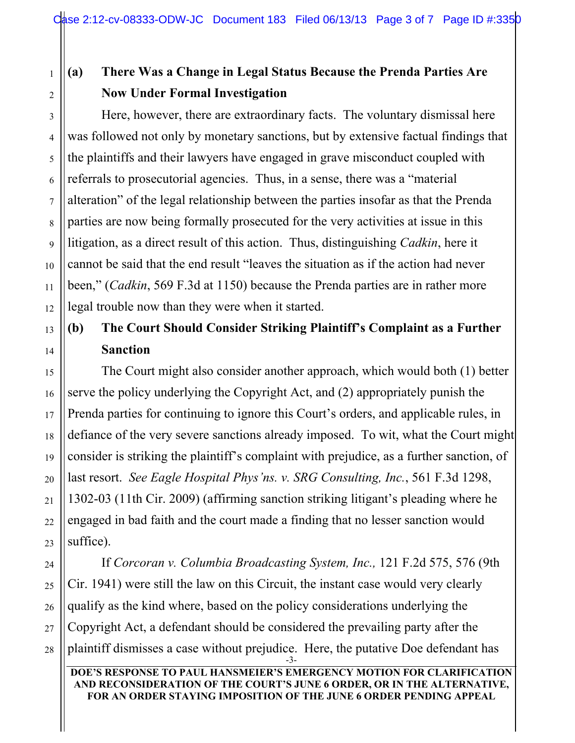# **(a) There Was a Change in Legal Status Because the Prenda Parties Are Now Under Formal Investigation**

Here, however, there are extraordinary facts. The voluntary dismissal here was followed not only by monetary sanctions, but by extensive factual findings that the plaintiffs and their lawyers have engaged in grave misconduct coupled with referrals to prosecutorial agencies. Thus, in a sense, there was a "material alteration" of the legal relationship between the parties insofar as that the Prenda parties are now being formally prosecuted for the very activities at issue in this litigation, as a direct result of this action. Thus, distinguishing *Cadkin*, here it cannot be said that the end result "leaves the situation as if the action had never been," (*Cadkin*, 569 F.3d at 1150) because the Prenda parties are in rather more legal trouble now than they were when it started.

# **(b) The Court Should Consider Striking Plaintiff's Complaint as a Further Sanction**

The Court might also consider another approach, which would both (1) better serve the policy underlying the Copyright Act, and (2) appropriately punish the Prenda parties for continuing to ignore this Court's orders, and applicable rules, in defiance of the very severe sanctions already imposed. To wit, what the Court might consider is striking the plaintiff's complaint with prejudice, as a further sanction, of last resort. *See Eagle Hospital Phys'ns. v. SRG Consulting, Inc.*, 561 F.3d 1298, 1302-03 (11th Cir. 2009) (affirming sanction striking litigant's pleading where he engaged in bad faith and the court made a finding that no lesser sanction would suffice).

-3- If *Corcoran v. Columbia Broadcasting System, Inc.,* 121 F.2d 575, 576 (9th Cir. 1941) were still the law on this Circuit, the instant case would very clearly qualify as the kind where, based on the policy considerations underlying the Copyright Act, a defendant should be considered the prevailing party after the plaintiff dismisses a case without prejudice. Here, the putative Doe defendant has

#### **DOE'S RESPONSE TO PAUL HANSMEIER'S EMERGENCY MOTION FOR CLARIFICATION AND RECONSIDERATION OF THE COURT'S JUNE 6 ORDER, OR IN THE ALTERNATIVE, FOR AN ORDER STAYING IMPOSITION OF THE JUNE 6 ORDER PENDING APPEAL**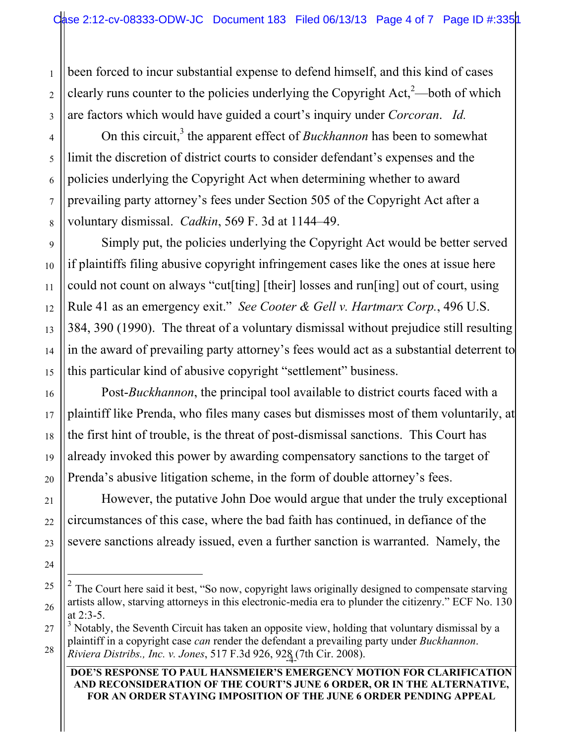been forced to incur substantial expense to defend himself, and this kind of cases clearly runs counter to the policies underlying the Copyright Act, $2$ —both of which are factors which would have guided a court's inquiry under *Corcoran*. *Id.* 

On this circuit,<sup>3</sup> the apparent effect of *Buckhannon* has been to somewhat limit the discretion of district courts to consider defendant's expenses and the policies underlying the Copyright Act when determining whether to award prevailing party attorney's fees under Section 505 of the Copyright Act after a voluntary dismissal. *Cadkin*, 569 F. 3d at 1144–49.

Simply put, the policies underlying the Copyright Act would be better served if plaintiffs filing abusive copyright infringement cases like the ones at issue here could not count on always "cut[ting] [their] losses and run[ing] out of court, using Rule 41 as an emergency exit." *See Cooter & Gell v. Hartmarx Corp.*, 496 U.S. 384, 390 (1990). The threat of a voluntary dismissal without prejudice still resulting in the award of prevailing party attorney's fees would act as a substantial deterrent to this particular kind of abusive copyright "settlement" business.

Post-*Buckhannon*, the principal tool available to district courts faced with a plaintiff like Prenda, who files many cases but dismisses most of them voluntarily, at the first hint of trouble, is the threat of post-dismissal sanctions. This Court has already invoked this power by awarding compensatory sanctions to the target of Prenda's abusive litigation scheme, in the form of double attorney's fees.

However, the putative John Doe would argue that under the truly exceptional circumstances of this case, where the bad faith has continued, in defiance of the severe sanctions already issued, even a further sanction is warranted. Namely, the

1

2

 <sup>2</sup> The Court here said it best, "So now, copyright laws originally designed to compensate starving artists allow, starving attorneys in this electronic-media era to plunder the citizenry." ECF No. 130 at 2:3-5.

<sup>-4-</sup> *Riviera Distribs., Inc. v. Jones*, 517 F.3d 926, 928 (7th Cir. 2008). <sup>3</sup> Notably, the Seventh Circuit has taken an opposite view, holding that voluntary dismissal by a plaintiff in a copyright case *can* render the defendant a prevailing party under *Buckhannon*.

**DOE'S RESPONSE TO PAUL HANSMEIER'S EMERGENCY MOTION FOR CLARIFICATION AND RECONSIDERATION OF THE COURT'S JUNE 6 ORDER, OR IN THE ALTERNATIVE, FOR AN ORDER STAYING IMPOSITION OF THE JUNE 6 ORDER PENDING APPEAL**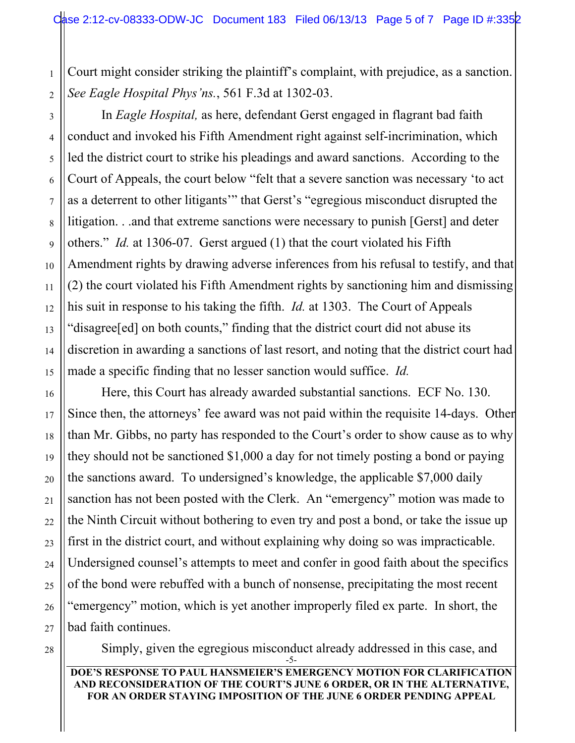1 2 Court might consider striking the plaintiff's complaint, with prejudice, as a sanction. *See Eagle Hospital Phys'ns.*, 561 F.3d at 1302-03.

In *Eagle Hospital,* as here, defendant Gerst engaged in flagrant bad faith conduct and invoked his Fifth Amendment right against self-incrimination, which led the district court to strike his pleadings and award sanctions. According to the Court of Appeals, the court below "felt that a severe sanction was necessary 'to act as a deterrent to other litigants'" that Gerst's "egregious misconduct disrupted the litigation. . .and that extreme sanctions were necessary to punish [Gerst] and deter others." *Id.* at 1306-07. Gerst argued (1) that the court violated his Fifth Amendment rights by drawing adverse inferences from his refusal to testify, and that (2) the court violated his Fifth Amendment rights by sanctioning him and dismissing his suit in response to his taking the fifth. *Id.* at 1303. The Court of Appeals "disagree[ed] on both counts," finding that the district court did not abuse its discretion in awarding a sanctions of last resort, and noting that the district court had made a specific finding that no lesser sanction would suffice. *Id.*

Here, this Court has already awarded substantial sanctions. ECF No. 130. Since then, the attorneys' fee award was not paid within the requisite 14-days. Other than Mr. Gibbs, no party has responded to the Court's order to show cause as to why they should not be sanctioned \$1,000 a day for not timely posting a bond or paying the sanctions award. To undersigned's knowledge, the applicable \$7,000 daily sanction has not been posted with the Clerk. An "emergency" motion was made to the Ninth Circuit without bothering to even try and post a bond, or take the issue up first in the district court, and without explaining why doing so was impracticable. Undersigned counsel's attempts to meet and confer in good faith about the specifics of the bond were rebuffed with a bunch of nonsense, precipitating the most recent "emergency" motion, which is yet another improperly filed ex parte. In short, the bad faith continues.

-5- Simply, given the egregious misconduct already addressed in this case, and

### **DOE'S RESPONSE TO PAUL HANSMEIER'S EMERGENCY MOTION FOR CLARIFICATION AND RECONSIDERATION OF THE COURT'S JUNE 6 ORDER, OR IN THE ALTERNATIVE, FOR AN ORDER STAYING IMPOSITION OF THE JUNE 6 ORDER PENDING APPEAL**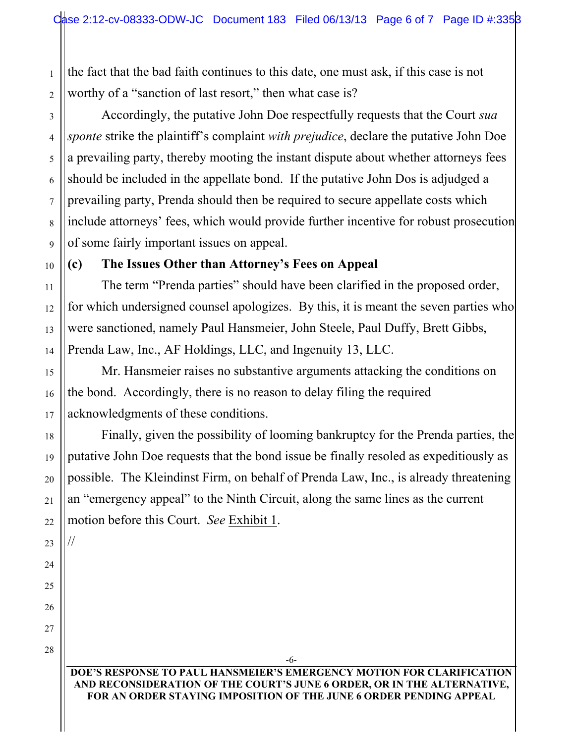2 the fact that the bad faith continues to this date, one must ask, if this case is not worthy of a "sanction of last resort," then what case is?

Accordingly, the putative John Doe respectfully requests that the Court *sua sponte* strike the plaintiff's complaint *with prejudice*, declare the putative John Doe a prevailing party, thereby mooting the instant dispute about whether attorneys fees should be included in the appellate bond. If the putative John Dos is adjudged a prevailing party, Prenda should then be required to secure appellate costs which include attorneys' fees, which would provide further incentive for robust prosecution of some fairly important issues on appeal.

## **(c) The Issues Other than Attorney's Fees on Appeal**

The term "Prenda parties" should have been clarified in the proposed order, for which undersigned counsel apologizes. By this, it is meant the seven parties who were sanctioned, namely Paul Hansmeier, John Steele, Paul Duffy, Brett Gibbs, Prenda Law, Inc., AF Holdings, LLC, and Ingenuity 13, LLC.

Mr. Hansmeier raises no substantive arguments attacking the conditions on the bond. Accordingly, there is no reason to delay filing the required acknowledgments of these conditions.

Finally, given the possibility of looming bankruptcy for the Prenda parties, the putative John Doe requests that the bond issue be finally resoled as expeditiously as possible. The Kleindinst Firm, on behalf of Prenda Law, Inc., is already threatening an "emergency appeal" to the Ninth Circuit, along the same lines as the current motion before this Court. *See* Exhibit 1.

22 23

//

24

25

26

27

1

3

4

5

6

7

8

9

10

11

12

13

14

15

16

17

18

19

20

21

28

### **DOE'S RESPONSE TO PAUL HANSMEIER'S EMERGENCY MOTION FOR CLARIFICATION AND RECONSIDERATION OF THE COURT'S JUNE 6 ORDER, OR IN THE ALTERNATIVE, FOR AN ORDER STAYING IMPOSITION OF THE JUNE 6 ORDER PENDING APPEAL**